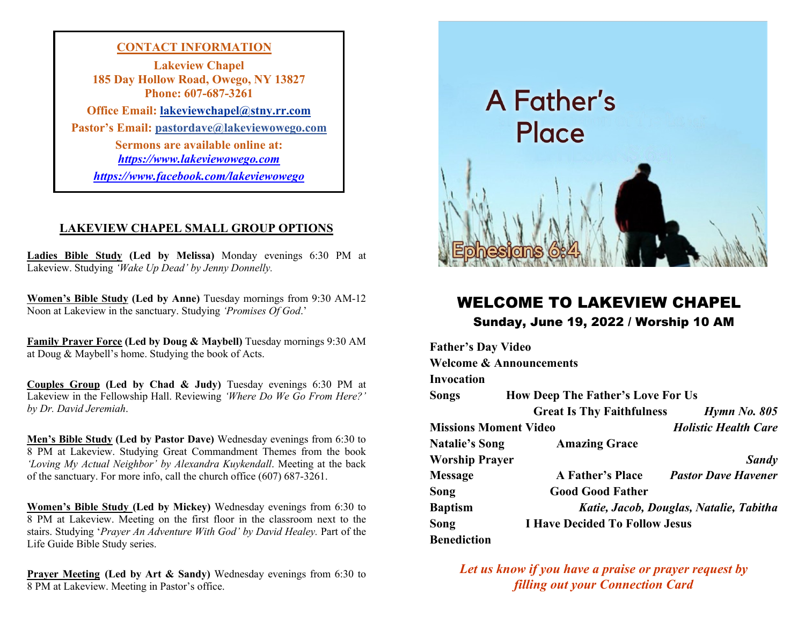**CONTACT INFORMATION Lakeview Chapel 185 Day Hollow Road, Owego, NY 13827 Phone: 607-687-3261 Office Email: lakeviewchapel@stny.rr.com Pastor's Email: pastordave@lakeviewowego.com Sermons are available online at:** *[https://www.lakeviewowego.com](https://www.lakeviewowego.com/) <https://www.facebook.com/lakeviewowego>*

#### **LAKEVIEW CHAPEL SMALL GROUP OPTIONS**

**Ladies Bible Study (Led by Melissa)** Monday evenings 6:30 PM at Lakeview. Studying *'Wake Up Dead' by Jenny Donnelly.*

**Women's Bible Study (Led by Anne)** Tuesday mornings from 9:30 AM-12 Noon at Lakeview in the sanctuary. Studying *'Promises Of God*.'

**Family Prayer Force (Led by Doug & Maybell)** Tuesday mornings 9:30 AM at Doug & Maybell's home. Studying the book of Acts.

**Couples Group (Led by Chad & Judy)** Tuesday evenings 6:30 PM at Lakeview in the Fellowship Hall. Reviewing *'Where Do We Go From Here?' by Dr. David Jeremiah*.

**Men's Bible Study (Led by Pastor Dave)** Wednesday evenings from 6:30 to 8 PM at Lakeview. Studying Great Commandment Themes from the book *'Loving My Actual Neighbor' by Alexandra Kuykendall*. Meeting at the back of the sanctuary. For more info, call the church office (607) 687-3261.

**Women's Bible Study (Led by Mickey)** Wednesday evenings from 6:30 to 8 PM at Lakeview. Meeting on the first floor in the classroom next to the stairs. Studying '*Prayer An Adventure With God' by David Healey.* Part of the Life Guide Bible Study series.

**Prayer Meeting (Led by Art & Sandy)** Wednesday evenings from 6:30 to 8 PM at Lakeview. Meeting in Pastor's office.



# WELCOME TO LAKEVIEW CHAPEL Sunday, June 19, 2022 / Worship 10 AM

| <b>Father's Day Video</b>          |                                          |                             |  |
|------------------------------------|------------------------------------------|-----------------------------|--|
| <b>Welcome &amp; Announcements</b> |                                          |                             |  |
| Invocation                         |                                          |                             |  |
| Songs                              | <b>How Deep The Father's Love For Us</b> |                             |  |
|                                    | <b>Great Is Thy Faithfulness</b>         | $H$ <sub>y</sub> mn No. 805 |  |
| <b>Missions Moment Video</b>       |                                          | <b>Holistic Health Care</b> |  |
| <b>Natalie's Song</b>              | <b>Amazing Grace</b>                     |                             |  |
| <b>Worship Prayer</b>              |                                          | <b>Sandy</b>                |  |
| Message                            | <b>A Father's Place</b>                  | <b>Pastor Dave Havener</b>  |  |
| Song                               | <b>Good Good Father</b>                  |                             |  |
| <b>Baptism</b>                     | Katie, Jacob, Douglas, Natalie, Tabitha  |                             |  |
| Song                               | <b>I Have Decided To Follow Jesus</b>    |                             |  |
| Benediction                        |                                          |                             |  |

*Let us know if you have a praise or prayer request by filling out your Connection Card*